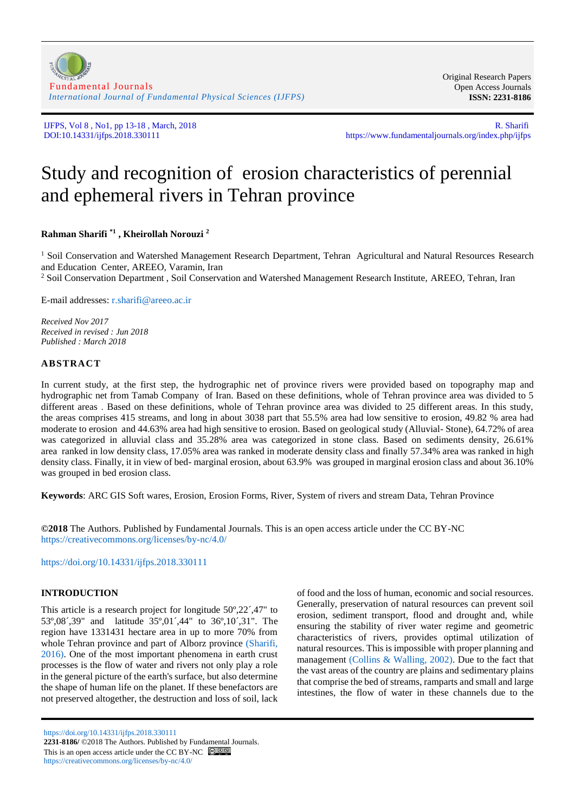[Fundamental Journals](https://www.fundamentaljournals.org/) *[International Journal of Fundamental Physical Sciences \(IJFPS\)](https://www.fundamentaljournals.org/index.php/ijfps)*

Original Research Papers Open Access Journals **ISSN: 2231-8186**

IJFPS, Vol 8, No1, pp 13-18, March, 2018<br>DOI:10.14331/ijfps.2018.330111 https://www.fundamentaljournals.org/index.php/ijfps https://www.fundamentaljournals.org/index.php/ijfps

# Study and recognition of erosion characteristics of perennial and ephemeral rivers in Tehran province

**Rahman Sharifi \*1 , Kheirollah Norouzi <sup>2</sup>**

<sup>1</sup> Soil Conservation and Watershed Management Research Department, Tehran Agricultural and Natural Resources Research and Education Center, AREEO, Varamin, Iran

<sup>2</sup> Soil Conservation Department , Soil Conservation and Watershed Management Research Institute, AREEO, Tehran, Iran

E-mail addresses: [r.sharifi@areeo.ac.ir](mailto:r.sharifi@areeo.ac.ir)

*Received Nov 2017 Received in revised : Jun 2018 Published : March 2018*

# **ABSTRACT**

In current study, at the first step, the hydrographic net of province rivers were provided based on topography map and hydrographic net from Tamab Company of Iran. Based on these definitions, whole of Tehran province area was divided to 5 different areas . Based on these definitions, whole of Tehran province area was divided to 25 different areas. In this study, the areas comprises 415 streams, and long in about 3038 part that 55.5% area had low sensitive to erosion, 49.82 % area had moderate to erosion and 44.63% area had high sensitive to erosion. Based on geological study (Alluvial- Stone), 64.72% of area was categorized in alluvial class and 35.28% area was categorized in stone class. Based on sediments density, 26.61% area ranked in low density class, 17.05% area was ranked in moderate density class and finally 57.34% area was ranked in high density class. Finally, it in view of bed- marginal erosion, about 63.9% was grouped in marginal erosion class and about 36.10% was grouped in bed erosion class.

**Keywords**: ARC GIS Soft wares, Erosion, Erosion Forms, River, System of rivers and stream Data, Tehran Province

**©2018** The Authors. Published by Fundamental Journals. This is an open access article under the CC BY-NC <https://creativecommons.org/licenses/by-nc/4.0/>

<https://doi.org/10.14331/ijfps.2018.330111>

# **INTRODUCTION**

This article is a research project for longitude 50º,22´,47" to 53º,08´,39" and latitude 35º,01´,44" to 36º,10´,31". The region have 1331431 hectare area in up to more 70% from whole Tehran province and part of Alborz province (Sharifi, [2016\)](#page-5-0). One of the most important phenomena in earth crust processes is the flow of water and rivers not only play a role in the general picture of the earth's surface, but also determine the shape of human life on the planet. If these benefactors are not preserved altogether, the destruction and loss of soil, lack

<https://doi.org/10.14331/ijfps.2018.330111> **2231-8186/** ©2018 The Authors. Published by Fundamental Journals. This is an open access article under the CC BY-NC  $\bigcirc$   $\bullet$ <https://creativecommons.org/licenses/by-nc/4.0/>

of food and the loss of human, economic and social resources. Generally, preservation of natural resources can prevent soil erosion, sediment transport, flood and drought and, while ensuring the stability of river water regime and geometric characteristics of rivers, provides optimal utilization of natural resources. This is impossible with proper planning and management [\(Collins & Walling, 2002\)](#page-5-1). Due to the fact that the vast areas of the country are plains and sedimentary plains that comprise the bed of streams, ramparts and small and large intestines, the flow of water in these channels due to the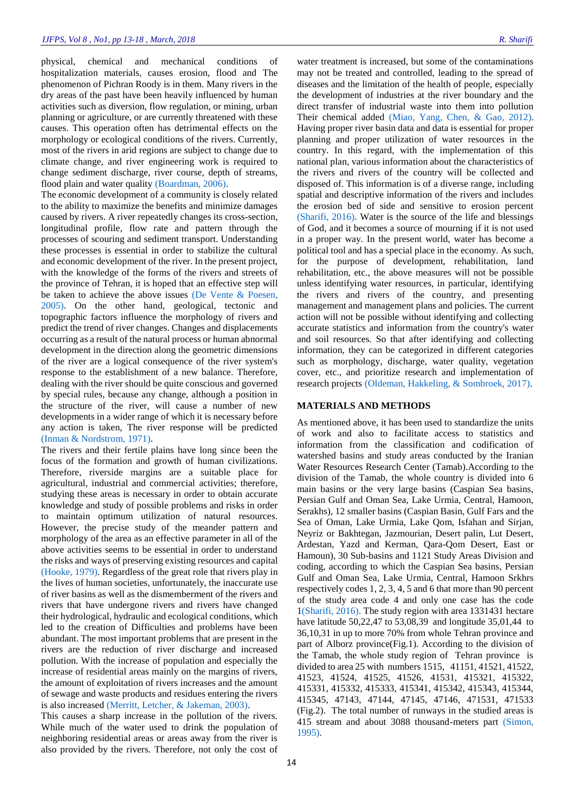physical, chemical and mechanical conditions of hospitalization materials, causes erosion, flood and The phenomenon of Pichran Roody is in them. Many rivers in the dry areas of the past have been heavily influenced by human activities such as diversion, flow regulation, or mining, urban planning or agriculture, or are currently threatened with these causes. This operation often has detrimental effects on the morphology or ecological conditions of the rivers. Currently, most of the rivers in arid regions are subject to change due to climate change, and river engineering work is required to change sediment discharge, river course, depth of streams, flood plain and water quality [\(Boardman, 2006\)](#page-5-2).

The economic development of a community is closely related to the ability to maximize the benefits and minimize damages caused by rivers. A river repeatedly changes its cross-section, longitudinal profile, flow rate and pattern through the processes of scouring and sediment transport. Understanding these processes is essential in order to stabilize the cultural and economic development of the river. In the present project, with the knowledge of the forms of the rivers and streets of the province of Tehran, it is hoped that an effective step will be taken to achieve the above issues [\(De Vente & Poesen,](#page-5-3)  [2005\)](#page-5-3). On the other hand, geological, tectonic and topographic factors influence the morphology of rivers and predict the trend of river changes. Changes and displacements occurring as a result of the natural process or human abnormal development in the direction along the geometric dimensions of the river are a logical consequence of the river system's response to the establishment of a new balance. Therefore, dealing with the river should be quite conscious and governed by special rules, because any change, although a position in the structure of the river, will cause a number of new developments in a wider range of which it is necessary before any action is taken, The river response will be predicted [\(Inman & Nordstrom, 1971\)](#page-5-4).

The rivers and their fertile plains have long since been the focus of the formation and growth of human civilizations. Therefore, riverside margins are a suitable place for agricultural, industrial and commercial activities; therefore, studying these areas is necessary in order to obtain accurate knowledge and study of possible problems and risks in order to maintain optimum utilization of natural resources. However, the precise study of the meander pattern and morphology of the area as an effective parameter in all of the above activities seems to be essential in order to understand the risks and ways of preserving existing resources and capital [\(Hooke, 1979\)](#page-5-5). Regardless of the great role that rivers play in the lives of human societies, unfortunately, the inaccurate use of river basins as well as the dismemberment of the rivers and rivers that have undergone rivers and rivers have changed their hydrological, hydraulic and ecological conditions, which led to the creation of Difficulties and problems have been abundant. The most important problems that are present in the rivers are the reduction of river discharge and increased pollution. With the increase of population and especially the increase of residential areas mainly on the margins of rivers, the amount of exploitation of rivers increases and the amount of sewage and waste products and residues entering the rivers is also increased [\(Merritt, Letcher, & Jakeman, 2003\)](#page-5-6).

This causes a sharp increase in the pollution of the rivers. While much of the water used to drink the population of neighboring residential areas or areas away from the river is also provided by the rivers. Therefore, not only the cost of

water treatment is increased, but some of the contaminations may not be treated and controlled, leading to the spread of diseases and the limitation of the health of people, especially the development of industries at the river boundary and the direct transfer of industrial waste into them into pollution Their chemical added [\(Miao, Yang, Chen, & Gao, 2012\)](#page-5-7). Having proper river basin data and data is essential for proper planning and proper utilization of water resources in the country. In this regard, with the implementation of this national plan, various information about the characteristics of the rivers and rivers of the country will be collected and disposed of. This information is of a diverse range, including spatial and descriptive information of the rivers and includes the erosion bed of side and sensitive to erosion percent [\(Sharifi, 2016\)](#page-5-0). Water is the source of the life and blessings of God, and it becomes a source of mourning if it is not used in a proper way. In the present world, water has become a political tool and has a special place in the economy. As such, for the purpose of development, rehabilitation, land rehabilitation, etc., the above measures will not be possible unless identifying water resources, in particular, identifying the rivers and rivers of the country, and presenting management and management plans and policies. The current action will not be possible without identifying and collecting accurate statistics and information from the country's water and soil resources. So that after identifying and collecting information, they can be categorized in different categories such as morphology, discharge, water quality, vegetation cover, etc., and prioritize research and implementation of research projects [\(Oldeman, Hakkeling, & Sombroek, 2017\)](#page-5-8).

### **MATERIALS AND METHODS**

As mentioned above, it has been used to standardize the units of work and also to facilitate access to statistics and information from the classification and codification of watershed basins and study areas conducted by the Iranian Water Resources Research Center (Tamab).According to the division of the Tamab, the whole country is divided into 6 main basins or the very large basins (Caspian Sea basins, Persian Gulf and Oman Sea, Lake Urmia, Central, Hamoon, Serakhs), 12 smaller basins (Caspian Basin, Gulf Fars and the Sea of Oman, Lake Urmia, Lake Qom, Isfahan and Sirjan, Neyriz or Bakhtegan, Jazmourian, Desert palin, Lut Desert, Ardestan, Yazd and Kerman, Qara-Qom Desert, East or Hamoun), 30 Sub-basins and 1121 Study Areas Division and coding, according to which the Caspian Sea basins, Persian Gulf and Oman Sea, Lake Urmia, Central, Hamoon Srkhrs respectively codes 1, 2, 3, 4, 5 and 6 that more than 90 percent of the study area code 4 and only one case has the code 1[\(Sharifi, 2016\)](#page-5-0). The study region with area 1331431 hectare have latitude 50,22,47 to 53,08,39 and longitude 35,01,44 to 36,10,31 in up to more 70% from whole Tehran province and part of Alborz province(Fig.1). According to the division of the Tamab, the whole study region of Tehran province is divided to area 25 with numbers 1515, 41151, 41521, 41522, 41523, 41524, 41525, 41526, 41531, 415321, 415322, 415331, 415332, 415333, 415341, 415342, 415343, 415344, 415345, 47143, 47144, 47145, 47146, 471531, 471533 (Fig.2). The total number of runways in the studied areas is 415 stream and about 3088 thousand-meters part [\(Simon,](#page-5-9)  [1995\)](#page-5-9).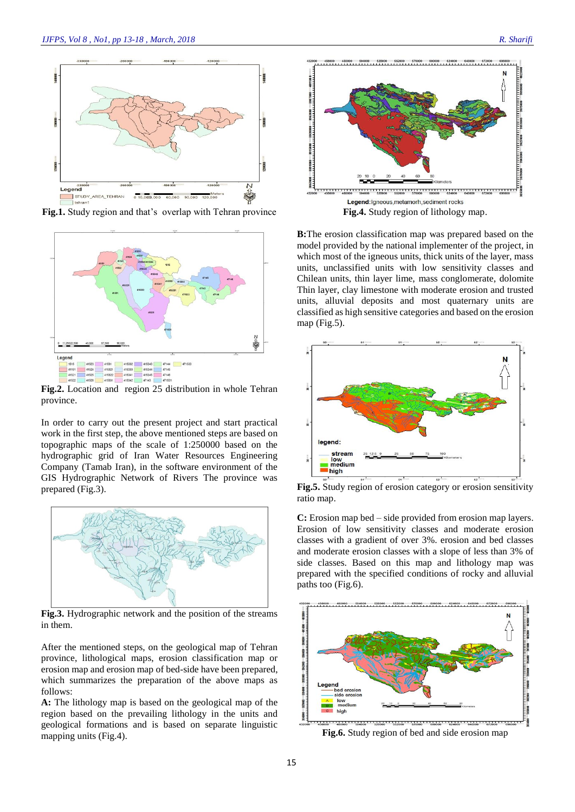

**Fig.1.** Study region and that's overlap with Tehran province



**Fig.2.** Location and region 25 distribution in whole Tehran province.

In order to carry out the present project and start practical work in the first step, the above mentioned steps are based on topographic maps of the scale of 1:250000 based on the hydrographic grid of Iran Water Resources Engineering Company (Tamab Iran), in the software environment of the GIS Hydrographic Network of Rivers The province was prepared (Fig.3).



**Fig.3.** Hydrographic network and the position of the streams in them.

After the mentioned steps, on the geological map of Tehran province, lithological maps, erosion classification map or erosion map and erosion map of bed-side have been prepared, which summarizes the preparation of the above maps as follows:

**A:** The lithology map is based on the geological map of the region based on the prevailing lithology in the units and geological formations and is based on separate linguistic mapping units (Fig.4).



**B:**The erosion classification map was prepared based on the model provided by the national implementer of the project, in which most of the igneous units, thick units of the layer, mass units, unclassified units with low sensitivity classes and Chilean units, thin layer lime, mass conglomerate, dolomite Thin layer, clay limestone with moderate erosion and trusted units, alluvial deposits and most quaternary units are classified as high sensitive categories and based on the erosion map (Fig.5).



**Fig.5.** Study region of erosion category or erosion sensitivity ratio map.

**C:** Erosion map bed – side provided from erosion map layers. Erosion of low sensitivity classes and moderate erosion classes with a gradient of over 3%. erosion and bed classes and moderate erosion classes with a slope of less than 3% of side classes. Based on this map and lithology map was prepared with the specified conditions of rocky and alluvial paths too (Fig.6).



**Fig.6.** Study region of bed and side erosion map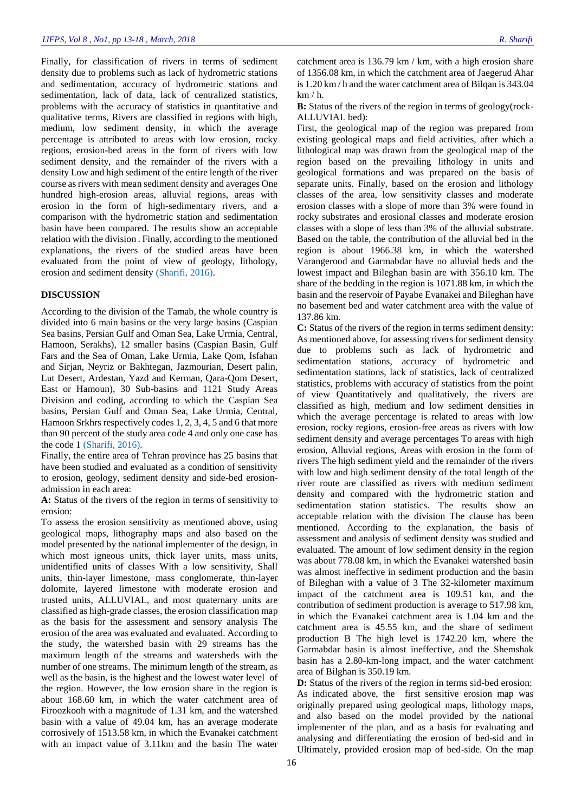Finally, for classification of rivers in terms of sediment density due to problems such as lack of hydrometric stations and sedimentation, accuracy of hydrometric stations and sedimentation, lack of data, lack of centralized statistics, problems with the accuracy of statistics in quantitative and qualitative terms, Rivers are classified in regions with high, medium, low sediment density, in which the average percentage is attributed to areas with low erosion, rocky regions, erosion-bed areas in the form of rivers with low sediment density, and the remainder of the rivers with a density Low and high sediment of the entire length of the river course as rivers with mean sediment density and averages One hundred high-erosion areas, alluvial regions, areas with erosion in the form of high-sedimentary rivers, and a comparison with the hydrometric station and sedimentation basin have been compared. The results show an acceptable relation with the division . Finally, according to the mentioned explanations, the rivers of the studied areas have been evaluated from the point of view of geology, lithology, erosion and sediment density [\(Sharifi, 2016\)](#page-5-0).

#### **DISCUSSION**

According to the division of the Tamab, the whole country is divided into 6 main basins or the very large basins (Caspian Sea basins, Persian Gulf and Oman Sea, Lake Urmia, Central, Hamoon, Serakhs), 12 smaller basins (Caspian Basin, Gulf Fars and the Sea of Oman, Lake Urmia, Lake Qom, Isfahan and Sirjan, Neyriz or Bakhtegan, Jazmourian, Desert palin, Lut Desert, Ardestan, Yazd and Kerman, Qara-Qom Desert, East or Hamoun), 30 Sub-basins and 1121 Study Areas Division and coding, according to which the Caspian Sea basins, Persian Gulf and Oman Sea, Lake Urmia, Central, Hamoon Srkhrs respectively codes 1, 2, 3, 4, 5 and 6 that more than 90 percent of the study area code 4 and only one case has the code 1 [\(Sharifi, 2016\)](#page-5-0).

Finally, the entire area of Tehran province has 25 basins that have been studied and evaluated as a condition of sensitivity to erosion, geology, sediment density and side-bed erosionadmission in each area:

**A:** Status of the rivers of the region in terms of sensitivity to erosion:

To assess the erosion sensitivity as mentioned above, using geological maps, lithography maps and also based on the model presented by the national implementer of the design, in which most igneous units, thick layer units, mass units, unidentified units of classes With a low sensitivity, Shall units, thin-layer limestone, mass conglomerate, thin-layer dolomite, layered limestone with moderate erosion and trusted units, ALLUVIAL, and most quaternary units are classified as high-grade classes, the erosion classification map as the basis for the assessment and sensory analysis The erosion of the area was evaluated and evaluated. According to the study, the watershed basin with 29 streams has the maximum length of the streams and watersheds with the number of one streams. The minimum length of the stream, as well as the basin, is the highest and the lowest water level of the region. However, the low erosion share in the region is about 168.60 km, in which the water catchment area of Firoozkooh with a magnitude of 1.31 km, and the watershed basin with a value of 49.04 km, has an average moderate corrosively of 1513.58 km, in which the Evanakei catchment with an impact value of 3.11km and the basin The water

catchment area is 136.79 km / km, with a high erosion share of 1356.08 km, in which the catchment area of Jaegerud Ahar is 1.20 km / h and the water catchment area of Bilqan is 343.04  $km/h$ .

**B:** Status of the rivers of the region in terms of geology(rock-ALLUVIAL bed):

First, the geological map of the region was prepared from existing geological maps and field activities, after which a lithological map was drawn from the geological map of the region based on the prevailing lithology in units and geological formations and was prepared on the basis of separate units. Finally, based on the erosion and lithology classes of the area, low sensitivity classes and moderate erosion classes with a slope of more than 3% were found in rocky substrates and erosional classes and moderate erosion classes with a slope of less than 3% of the alluvial substrate. Based on the table, the contribution of the alluvial bed in the region is about 1966.38 km, in which the watershed Varangerood and Garmabdar have no alluvial beds and the lowest impact and Bileghan basin are with 356.10 km. The share of the bedding in the region is 1071.88 km, in which the basin and the reservoir of Payabe Evanakei and Bileghan have no basement bed and water catchment area with the value of 137.86 km.

**C:** Status of the rivers of the region in terms sediment density: As mentioned above, for assessing rivers for sediment density due to problems such as lack of hydrometric and sedimentation stations, accuracy of hydrometric and sedimentation stations, lack of statistics, lack of centralized statistics, problems with accuracy of statistics from the point of view Quantitatively and qualitatively, the rivers are classified as high, medium and low sediment densities in which the average percentage is related to areas with low erosion, rocky regions, erosion-free areas as rivers with low sediment density and average percentages To areas with high erosion, Alluvial regions, Areas with erosion in the form of rivers The high sediment yield and the remainder of the rivers with low and high sediment density of the total length of the river route are classified as rivers with medium sediment density and compared with the hydrometric station and sedimentation station statistics. The results show an acceptable relation with the division The clause has been mentioned. According to the explanation, the basis of assessment and analysis of sediment density was studied and evaluated. The amount of low sediment density in the region was about 778.08 km, in which the Evanakei watershed basin was almost ineffective in sediment production and the basin of Bileghan with a value of 3 The 32-kilometer maximum impact of the catchment area is 109.51 km, and the contribution of sediment production is average to 517.98 km, in which the Evanakei catchment area is 1.04 km and the catchment area is 45.55 km, and the share of sediment production B The high level is 1742.20 km, where the Garmabdar basin is almost ineffective, and the Shemshak basin has a 2.80-km-long impact, and the water catchment area of Bilghan is 350.19 km.

**D:** Status of the rivers of the region in terms sid-bed erosion: As indicated above, the first sensitive erosion map was originally prepared using geological maps, lithology maps, and also based on the model provided by the national implementer of the plan, and as a basis for evaluating and analysing and differentiating the erosion of bed-sid and in Ultimately, provided erosion map of bed-side. On the map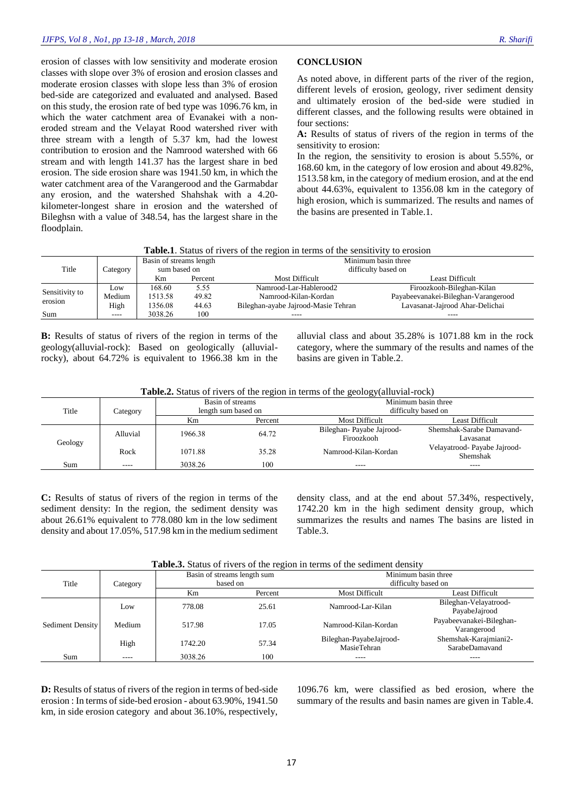erosion of classes with low sensitivity and moderate erosion classes with slope over 3% of erosion and erosion classes and moderate erosion classes with slope less than 3% of erosion bed-side are categorized and evaluated and analysed. Based on this study, the erosion rate of bed type was 1096.76 km, in which the water catchment area of Evanakei with a noneroded stream and the Velayat Rood watershed river with three stream with a length of 5.37 km, had the lowest contribution to erosion and the Namrood watershed with 66 stream and with length 141.37 has the largest share in bed erosion. The side erosion share was 1941.50 km, in which the water catchment area of the Varangerood and the Garmabdar any erosion, and the watershed Shahshak with a 4.20 kilometer-longest share in erosion and the watershed of Bileghsn with a value of 348.54, has the largest share in the floodplain.

#### **CONCLUSION**

As noted above, in different parts of the river of the region, different levels of erosion, geology, river sediment density and ultimately erosion of the bed-side were studied in different classes, and the following results were obtained in four sections:

**A:** Results of status of rivers of the region in terms of the sensitivity to erosion:

In the region, the sensitivity to erosion is about 5.55%, or 168.60 km, in the category of low erosion and about 49.82%, 1513.58 km, in the category of medium erosion, and at the end about 44.63%, equivalent to 1356.08 km in the category of high erosion, which is summarized. The results and names of the basins are presented in Table.1.

**Table.1**. Status of rivers of the region in terms of the sensitivity to erosion

|                           | Category      | Basin of streams length |         | Minimum basin three                 |                                     |  |
|---------------------------|---------------|-------------------------|---------|-------------------------------------|-------------------------------------|--|
| Title                     |               | sum based on            |         | difficulty based on                 |                                     |  |
|                           |               | Km                      | Percent | Most Difficult                      | Least Difficult                     |  |
| Sensitivity to<br>erosion | Low           | 168.60                  | 5.55    | Namrood-Lar-Hablerood2              | Firoozkooh-Bileghan-Kilan           |  |
|                           | Medium        | 1513.58                 | 49.82   | Namrood-Kilan-Kordan                | Payabeevanakei-Bileghan-Varangerood |  |
|                           | High          | 1356.08                 | 44.63   | Bileghan-ayabe Jajrood-Masie Tehran | Lavasanat-Jajrood Ahar-Delichai     |  |
| Sum                       | $\frac{1}{2}$ | 3038.26                 | 100     | ----                                | ----                                |  |

**B:** Results of status of rivers of the region in terms of the geology(alluvial-rock): Based on geologically (alluvialrocky), about 64.72% is equivalent to 1966.38 km in the alluvial class and about 35.28% is 1071.88 km in the rock category, where the summary of the results and names of the basins are given in Table.2.

| Table.2. Status of rivers of the region in terms of the geology(alluvial-rock) |  |  |
|--------------------------------------------------------------------------------|--|--|
|                                                                                |  |  |

|         | Category |         | Basin of streams    | Minimum basin three      |                                          |  |
|---------|----------|---------|---------------------|--------------------------|------------------------------------------|--|
| Title   |          |         | length sum based on | difficulty based on      |                                          |  |
|         |          | Km      | Percent             | Most Difficult           | Least Difficult                          |  |
| Geology | Alluvial | 1966.38 | 64.72               | Bileghan-Payabe Jajrood- | Shemshak-Sarabe Damayand-                |  |
|         |          |         |                     | Firoozkooh               | Lavasanat                                |  |
|         | Rock     | 1071.88 | 35.28               | Namrood-Kilan-Kordan     | Velayatrood- Payabe Jajrood-<br>Shemshak |  |
| Sum     | ----     | 3038.26 | 100                 | $- - - -$                | $\frac{1}{2}$                            |  |

**C:** Results of status of rivers of the region in terms of the sediment density: In the region, the sediment density was about 26.61% equivalent to 778.080 km in the low sediment density and about 17.05%, 517.98 km in the medium sediment density class, and at the end about 57.34%, respectively, 1742.20 km in the high sediment density group, which summarizes the results and names The basins are listed in Table.3.

**Table.3.** Status of rivers of the region in terms of the sediment density

| Title            | Category |         | Basin of streams length sum<br>based on | Minimum basin three<br>difficulty based on |                                         |
|------------------|----------|---------|-----------------------------------------|--------------------------------------------|-----------------------------------------|
|                  |          | Km      | Percent                                 | <b>Most Difficult</b>                      | Least Difficult                         |
| Sediment Density | Low      | 778.08  | 25.61                                   | Namrood-Lar-Kilan                          | Bileghan-Velayatrood-<br>PayabeJajrood  |
|                  | Medium   | 517.98  | 17.05                                   | Namrood-Kilan-Kordan                       | Payabeevanakei-Bileghan-<br>Varangerood |
|                  | High     | 1742.20 | 57.34                                   | Bileghan-PayabeJajrood-<br>MasieTehran     | Shemshak-Karajmiani2-<br>SarabeDamavand |
| Sum              |          | 3038.26 | 100                                     | ----                                       |                                         |

**D:** Results of status of rivers of the region in terms of bed-side erosion : In terms of side-bed erosion - about 63.90%, 1941.50 km, in side erosion category and about 36.10%, respectively,

1096.76 km, were classified as bed erosion, where the summary of the results and basin names are given in Table.4.